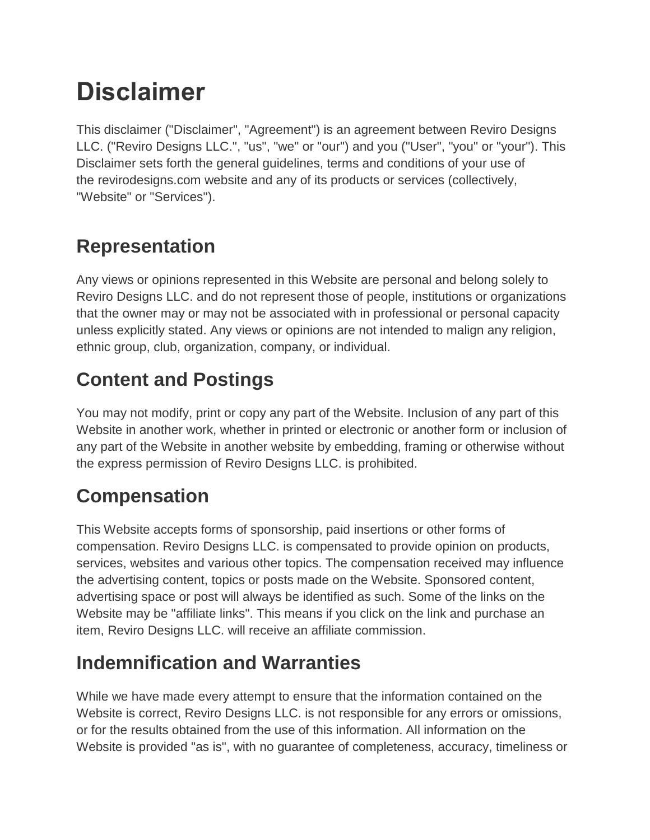# **Disclaimer**

This disclaimer ("Disclaimer", "Agreement") is an agreement between Reviro Designs LLC. ("Reviro Designs LLC.", "us", "we" or "our") and you ("User", "you" or "your"). This Disclaimer sets forth the general guidelines, terms and conditions of your use of the [revirodesigns.com](https://www.revirodesigns.com/) website and any of its products or services (collectively, "Website" or "Services").

#### **Representation**

Any views or opinions represented in this Website are personal and belong solely to Reviro Designs LLC. and do not represent those of people, institutions or organizations that the owner may or may not be associated with in professional or personal capacity unless explicitly stated. Any views or opinions are not intended to malign any religion, ethnic group, club, organization, company, or individual.

## **Content and Postings**

You may not modify, print or copy any part of the Website. Inclusion of any part of this Website in another work, whether in printed or electronic or another form or inclusion of any part of the Website in another website by embedding, framing or otherwise without the express permission of Reviro Designs LLC. is prohibited.

## **Compensation**

This Website accepts forms of sponsorship, paid insertions or other forms of compensation. Reviro Designs LLC. is compensated to provide opinion on products, services, websites and various other topics. The compensation received may influence the advertising content, topics or posts made on the Website. Sponsored content, advertising space or post will always be identified as such. Some of the links on the Website may be "affiliate links". This means if you click on the link and purchase an item, Reviro Designs LLC. will receive an affiliate commission.

## **Indemnification and Warranties**

While we have made every attempt to ensure that the information contained on the Website is correct, Reviro Designs LLC. is not responsible for any errors or omissions, or for the results obtained from the use of this information. All information on the Website is provided "as is", with no guarantee of completeness, accuracy, timeliness or